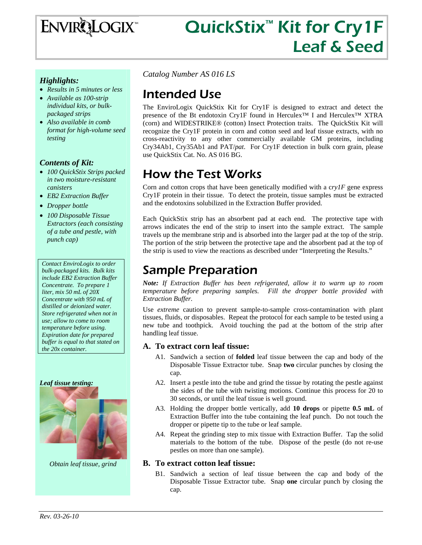

# QuickStix<sup>™</sup> Kit for Cry1F Leaf & Seed

### *Highlights:*

- *Results in 5 minutes or less*
- *Available as 100-strip*
- *individual kits, or bulkpackaged strips*  • *Also available in comb*
- *format for high-volume seed testing*

### *Contents of Kit:*

- *100 QuickStix Strips packed in two moisture-resistant canisters*
- *EB2 Extraction Buffer*
- *Dropper bottle*
- *100 Disposable Tissue Extractors (each consisting of a tube and pestle, with punch cap)*

*Contact EnviroLogix to order bulk-packaged kits. Bulk kits include EB2 Extraction Buffer Concentrate. To prepare 1 liter, mix 50 mL of 20X Concentrate with 950 mL of distilled or deionized water. Store refrigerated when not in use; allow to come to room temperature before using. Expiration date for prepared buffer is equal to that stated on the 20x container.* 

#### *Leaf tissue testing:*



*Obtain leaf tissue, grind* 

*Catalog Number AS 016 LS*

# Intended Use

The EnviroLogix QuickStix Kit for Cry1F is designed to extract and detect the presence of the Bt endotoxin Cry1F found in Herculex™ I and Herculex™ XTRA (corn) and WIDESTRIKE® (cotton) Insect Protection traits. The QuickStix Kit will recognize the Cry1F protein in corn and cotton seed and leaf tissue extracts, with no cross-reactivity to any other commercially available GM proteins, including Cry34Ab1, Cry35Ab1 and PAT/*pat*. For Cry1F detection in bulk corn grain, please use QuickStix Cat. No. AS 016 BG.

# How the Test Works

Corn and cotton crops that have been genetically modified with a c*ry1F* gene express Cry1F protein in their tissue. To detect the protein, tissue samples must be extracted and the endotoxins solubilized in the Extraction Buffer provided.

Each QuickStix strip has an absorbent pad at each end. The protective tape with arrows indicates the end of the strip to insert into the sample extract. The sample travels up the membrane strip and is absorbed into the larger pad at the top of the strip. The portion of the strip between the protective tape and the absorbent pad at the top of the strip is used to view the reactions as described under "Interpreting the Results."

# Sample Preparation

*Note: If Extraction Buffer has been refrigerated, allow it to warm up to room temperature before preparing samples. Fill the dropper bottle provided with Extraction Buffer.* 

Use *extreme* caution to prevent sample-to-sample cross-contamination with plant tissues, fluids, or disposables. Repeat the protocol for each sample to be tested using a new tube and toothpick. Avoid touching the pad at the bottom of the strip after handling leaf tissue.

### **A. To extract corn leaf tissue:**

- A1. Sandwich a section of **folded** leaf tissue between the cap and body of the Disposable Tissue Extractor tube. Snap **two** circular punches by closing the cap.
- A2. Insert a pestle into the tube and grind the tissue by rotating the pestle against the sides of the tube with twisting motions. Continue this process for 20 to 30 seconds, or until the leaf tissue is well ground.
- A3. Holding the dropper bottle vertically, add **10 drops** or pipette **0.5 mL** of Extraction Buffer into the tube containing the leaf punch. Do not touch the dropper or pipette tip to the tube or leaf sample.
- A4. Repeat the grinding step to mix tissue with Extraction Buffer. Tap the solid materials to the bottom of the tube. Dispose of the pestle (do not re-use pestles on more than one sample).

#### **B. To extract cotton leaf tissue:**

B1. Sandwich a section of leaf tissue between the cap and body of the Disposable Tissue Extractor tube. Snap **one** circular punch by closing the cap.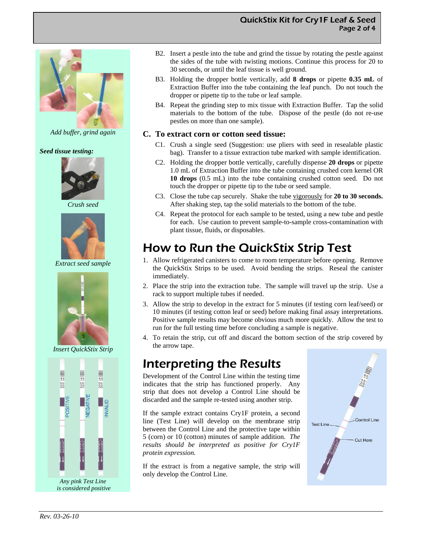#### QuickStix Kit for Cry1F Leaf & Seed Page 2 of 4



*Add buffer, grind again* 

#### *Seed tissue testing:*



*Crush seed* 



*Extract seed sample* 



*Insert QuickStix Strip* 



 *is considered positive* 

- B2. Insert a pestle into the tube and grind the tissue by rotating the pestle against the sides of the tube with twisting motions. Continue this process for 20 to 30 seconds, or until the leaf tissue is well ground.
- B3. Holding the dropper bottle vertically, add **8 drops** or pipette **0.35 mL** of Extraction Buffer into the tube containing the leaf punch. Do not touch the dropper or pipette tip to the tube or leaf sample.
- B4. Repeat the grinding step to mix tissue with Extraction Buffer. Tap the solid materials to the bottom of the tube. Dispose of the pestle (do not re-use pestles on more than one sample).

#### **C. To extract corn or cotton seed tissue:**

- C1. Crush a single seed (Suggestion: use pliers with seed in resealable plastic bag). Transfer to a tissue extraction tube marked with sample identification.
- C2. Holding the dropper bottle vertically, carefully dispense **20 drops** or pipette 1.0 mL of Extraction Buffer into the tube containing crushed corn kernel OR **10 drops** (0.5 mL) into the tube containing crushed cotton seed. Do not touch the dropper or pipette tip to the tube or seed sample.
- C3. Close the tube cap securely. Shake the tube vigorously for **20 to 30 seconds.**  After shaking step, tap the solid materials to the bottom of the tube.
- C4. Repeat the protocol for each sample to be tested, using a new tube and pestle for each. Use caution to prevent sample-to-sample cross-contamination with plant tissue, fluids, or disposables.

### How to Run the QuickStix Strip Test

- 1. Allow refrigerated canisters to come to room temperature before opening. Remove the QuickStix Strips to be used. Avoid bending the strips. Reseal the canister immediately.
- 2. Place the strip into the extraction tube. The sample will travel up the strip. Use a rack to support multiple tubes if needed.
- 3. Allow the strip to develop in the extract for 5 minutes (if testing corn leaf/seed) or 10 minutes (if testing cotton leaf or seed) before making final assay interpretations. Positive sample results may become obvious much more quickly. Allow the test to run for the full testing time before concluding a sample is negative.
- 4. To retain the strip, cut off and discard the bottom section of the strip covered by the arrow tape.

### Interpreting the Results

Development of the Control Line within the testing time indicates that the strip has functioned properly. Any strip that does not develop a Control Line should be discarded and the sample re-tested using another strip.

If the sample extract contains Cry1F protein, a second line (Test Line) will develop on the membrane strip between the Control Line and the protective tape within 5 (corn) or 10 (cotton) minutes of sample addition. *The results should be interpreted as positive for Cry1F protein expression.* 

If the extract is from a negative sample, the strip will only develop the Control Line.

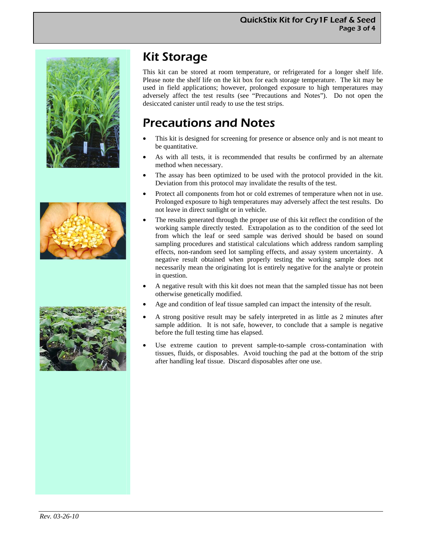





# Kit Storage

This kit can be stored at room temperature, or refrigerated for a longer shelf life. Please note the shelf life on the kit box for each storage temperature. The kit may be used in field applications; however, prolonged exposure to high temperatures may adversely affect the test results (see "Precautions and Notes"). Do not open the desiccated canister until ready to use the test strips.

# Precautions and Notes

- This kit is designed for screening for presence or absence only and is not meant to be quantitative.
- As with all tests, it is recommended that results be confirmed by an alternate method when necessary.
- The assay has been optimized to be used with the protocol provided in the kit. Deviation from this protocol may invalidate the results of the test.
- Protect all components from hot or cold extremes of temperature when not in use. Prolonged exposure to high temperatures may adversely affect the test results. Do not leave in direct sunlight or in vehicle.
- The results generated through the proper use of this kit reflect the condition of the working sample directly tested. Extrapolation as to the condition of the seed lot from which the leaf or seed sample was derived should be based on sound sampling procedures and statistical calculations which address random sampling effects, non-random seed lot sampling effects, and assay system uncertainty. A negative result obtained when properly testing the working sample does not necessarily mean the originating lot is entirely negative for the analyte or protein in question.
- A negative result with this kit does not mean that the sampled tissue has not been otherwise genetically modified.
- Age and condition of leaf tissue sampled can impact the intensity of the result.
- A strong positive result may be safely interpreted in as little as 2 minutes after sample addition. It is not safe, however, to conclude that a sample is negative before the full testing time has elapsed.
- Use extreme caution to prevent sample-to-sample cross-contamination with tissues, fluids, or disposables. Avoid touching the pad at the bottom of the strip after handling leaf tissue. Discard disposables after one use.